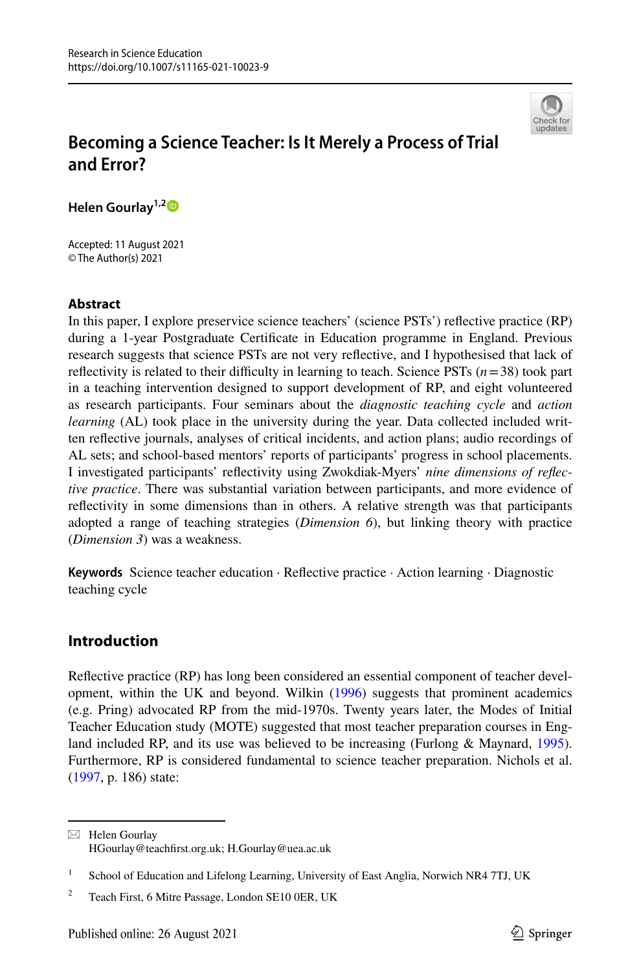

# **Becoming a Science Teacher: Is It Merely a Process of Trial and Error?**

**Helen Gourlay1,[2](http://orcid.org/0000-0001-6457-0772)**

Accepted: 11 August 2021 © The Author(s) 2021

### **Abstract**

In this paper, I explore preservice science teachers' (science PSTs') refective practice (RP) during a 1-year Postgraduate Certifcate in Education programme in England. Previous research suggests that science PSTs are not very refective, and I hypothesised that lack of reflectivity is related to their difficulty in learning to teach. Science PSTs  $(n=38)$  took part in a teaching intervention designed to support development of RP, and eight volunteered as research participants. Four seminars about the *diagnostic teaching cycle* and *action learning* (AL) took place in the university during the year. Data collected included written refective journals, analyses of critical incidents, and action plans; audio recordings of AL sets; and school-based mentors' reports of participants' progress in school placements. I investigated participants' refectivity using Zwokdiak-Myers' *nine dimensions of refective practice*. There was substantial variation between participants, and more evidence of refectivity in some dimensions than in others. A relative strength was that participants adopted a range of teaching strategies (*Dimension 6*), but linking theory with practice (*Dimension 3*) was a weakness.

**Keywords** Science teacher education · Refective practice · Action learning · Diagnostic teaching cycle

## **Introduction**

Refective practice (RP) has long been considered an essential component of teacher devel-opment, within the UK and beyond. Wilkin [\(1996](#page-21-0)) suggests that prominent academics (e.g. Pring) advocated RP from the mid-1970s. Twenty years later, the Modes of Initial Teacher Education study (MOTE) suggested that most teacher preparation courses in Eng-land included RP, and its use was believed to be increasing (Furlong & Maynard, [1995](#page-20-0)). Furthermore, RP is considered fundamental to science teacher preparation. Nichols et al. ([1997,](#page-20-1) p. 186) state:

 $\boxtimes$  Helen Gourlay HGourlay@teachfrst.org.uk; H.Gourlay@uea.ac.uk

<sup>&</sup>lt;sup>1</sup> School of Education and Lifelong Learning, University of East Anglia, Norwich NR4 7TJ, UK

<sup>&</sup>lt;sup>2</sup> Teach First, 6 Mitre Passage, London SE10 0ER, UK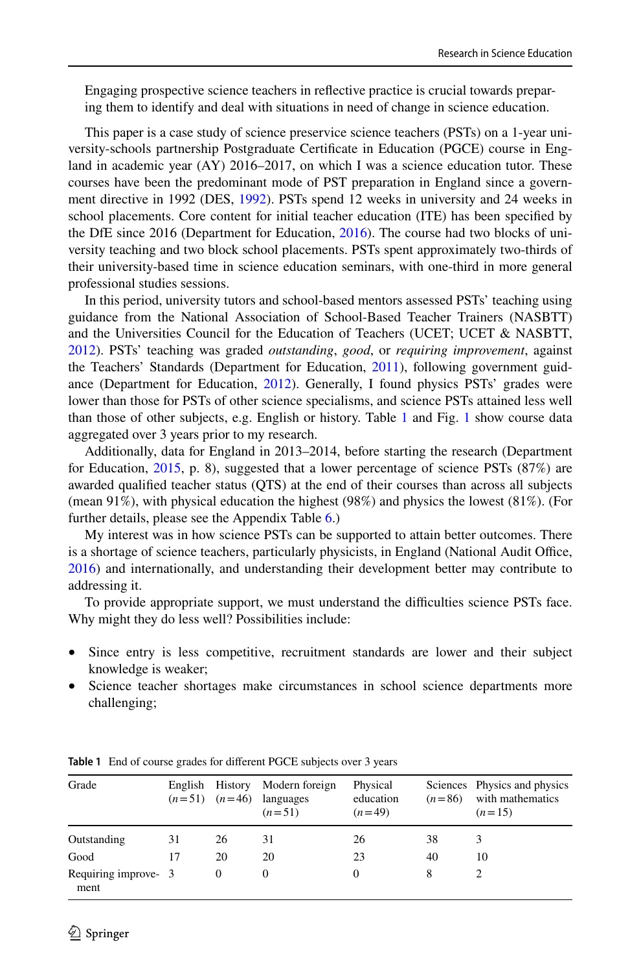Engaging prospective science teachers in refective practice is crucial towards preparing them to identify and deal with situations in need of change in science education.

This paper is a case study of science preservice science teachers (PSTs) on a 1-year university-schools partnership Postgraduate Certifcate in Education (PGCE) course in England in academic year (AY) 2016–2017, on which I was a science education tutor. These courses have been the predominant mode of PST preparation in England since a government directive in 1992 (DES, [1992\)](#page-20-2). PSTs spend 12 weeks in university and 24 weeks in school placements. Core content for initial teacher education (ITE) has been specifed by the DfE since 2016 (Department for Education, [2016\)](#page-20-3). The course had two blocks of university teaching and two block school placements. PSTs spent approximately two-thirds of their university-based time in science education seminars, with one-third in more general professional studies sessions.

In this period, university tutors and school-based mentors assessed PSTs' teaching using guidance from the National Association of School-Based Teacher Trainers (NASBTT) and the Universities Council for the Education of Teachers (UCET; UCET & NASBTT, [2012\)](#page-21-1). PSTs' teaching was graded *outstanding*, *good*, or *requiring improvement*, against the Teachers' Standards (Department for Education, [2011](#page-20-4)), following government guidance (Department for Education, [2012\)](#page-20-5). Generally, I found physics PSTs' grades were lower than those for PSTs of other science specialisms, and science PSTs attained less well than those of other subjects, e.g. English or history. Table [1](#page-1-0) and Fig. [1](#page-2-0) show course data aggregated over 3 years prior to my research.

Additionally, data for England in 2013–2014, before starting the research (Department for Education, [2015](#page-20-6), p. 8), suggested that a lower percentage of science PSTs (87%) are awarded qualifed teacher status (QTS) at the end of their courses than across all subjects (mean 91%), with physical education the highest (98%) and physics the lowest (81%). (For further details, please see the Appendix Table [6.](#page-18-0))

My interest was in how science PSTs can be supported to attain better outcomes. There is a shortage of science teachers, particularly physicists, in England (National Audit Office, [2016\)](#page-20-7) and internationally, and understanding their development better may contribute to addressing it.

To provide appropriate support, we must understand the difficulties science PSTs face. Why might they do less well? Possibilities include:

- Since entry is less competitive, recruitment standards are lower and their subject knowledge is weaker;
- Science teacher shortages make circumstances in school science departments more challenging;

| Grade                        |    |    | English History Modern foreign<br>$(n=51)$ $(n=46)$ languages<br>$(n=51)$ | Physical<br>education<br>$(n=49)$ | $(n=86)$ | Sciences Physics and physics<br>with mathematics<br>$(n=15)$ |
|------------------------------|----|----|---------------------------------------------------------------------------|-----------------------------------|----------|--------------------------------------------------------------|
| Outstanding                  | 31 | 26 | 31                                                                        | 26                                | 38       |                                                              |
| Good                         | 17 | 20 | 20                                                                        | 23                                | 40       | 10                                                           |
| Requiring improve- 3<br>ment |    | 0  | $^{0}$                                                                    | 0                                 | 8        |                                                              |

<span id="page-1-0"></span>**Table 1** End of course grades for diferent PGCE subjects over 3 years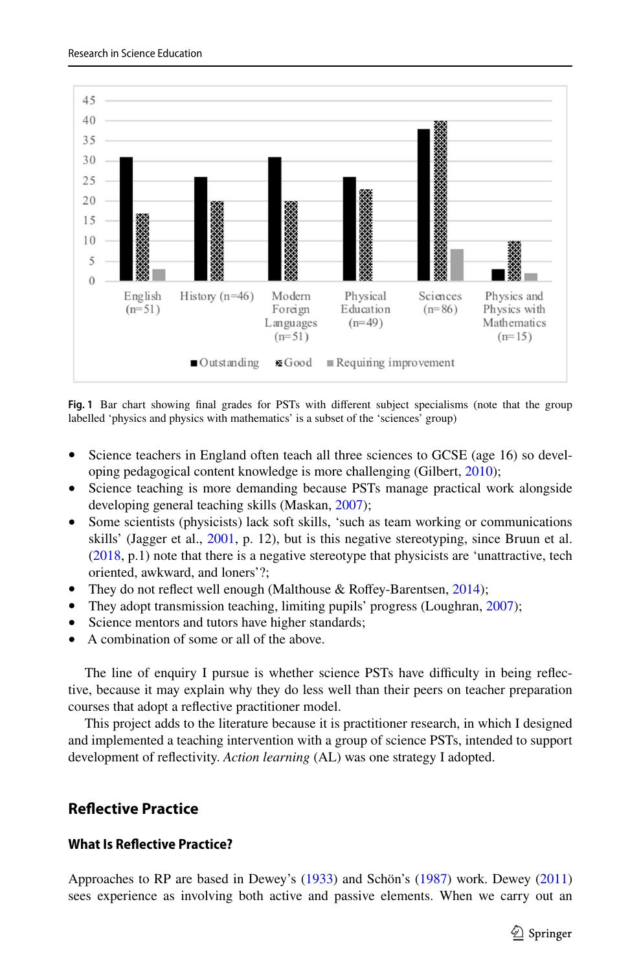

<span id="page-2-0"></span>**Fig. 1** Bar chart showing fnal grades for PSTs with diferent subject specialisms (note that the group labelled 'physics and physics with mathematics' is a subset of the 'sciences' group)

- Science teachers in England often teach all three sciences to GCSE (age 16) so developing pedagogical content knowledge is more challenging (Gilbert, [2010\)](#page-20-8);
- Science teaching is more demanding because PSTs manage practical work alongside developing general teaching skills (Maskan, [2007\)](#page-20-9);
- Some scientists (physicists) lack soft skills, 'such as team working or communications skills' (Jagger et al., [2001](#page-20-10), p. 12), but is this negative stereotyping, since Bruun et al. ([2018,](#page-20-11) p.1) note that there is a negative stereotype that physicists are 'unattractive, tech oriented, awkward, and loners'?;
- They do not reflect well enough (Malthouse & Roffey-Barentsen, [2014](#page-20-12));
- They adopt transmission teaching, limiting pupils' progress (Loughran, [2007](#page-21-2));
- Science mentors and tutors have higher standards;
- A combination of some or all of the above.

The line of enquiry I pursue is whether science PSTs have difficulty in being reflective, because it may explain why they do less well than their peers on teacher preparation courses that adopt a refective practitioner model.

This project adds to the literature because it is practitioner research, in which I designed and implemented a teaching intervention with a group of science PSTs, intended to support development of refectivity. *Action learning* (AL) was one strategy I adopted.

## **Refective Practice**

## **What Is Refective Practice?**

Approaches to RP are based in Dewey's ([1933\)](#page-20-13) and Schön's ([1987\)](#page-20-14) work. Dewey [\(2011](#page-20-15)) sees experience as involving both active and passive elements. When we carry out an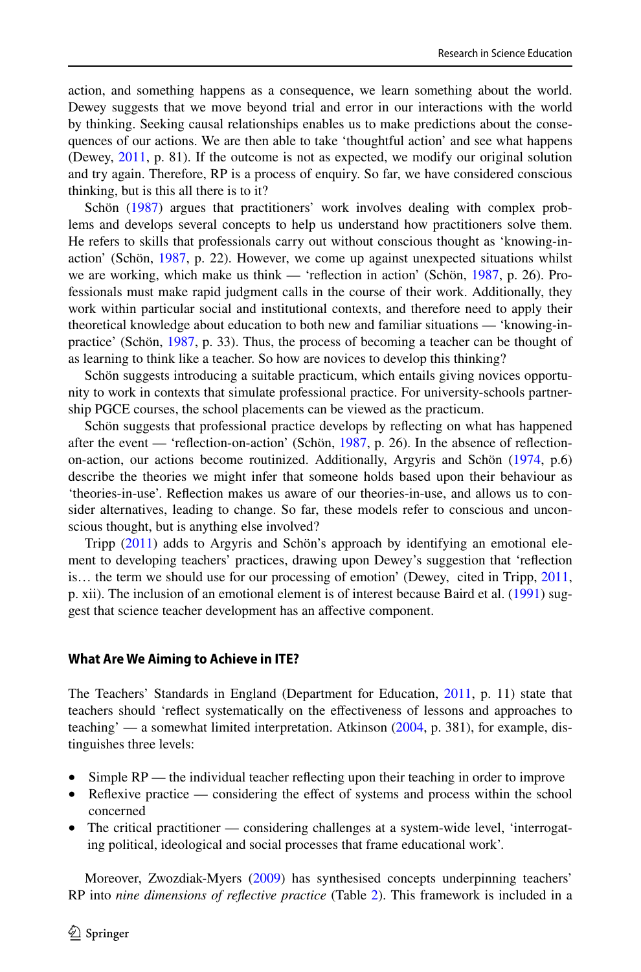action, and something happens as a consequence, we learn something about the world. Dewey suggests that we move beyond trial and error in our interactions with the world by thinking. Seeking causal relationships enables us to make predictions about the consequences of our actions. We are then able to take 'thoughtful action' and see what happens (Dewey, [2011](#page-20-15), p. 81). If the outcome is not as expected, we modify our original solution and try again. Therefore, RP is a process of enquiry. So far, we have considered conscious thinking, but is this all there is to it?

Schön ([1987\)](#page-20-14) argues that practitioners' work involves dealing with complex problems and develops several concepts to help us understand how practitioners solve them. He refers to skills that professionals carry out without conscious thought as 'knowing-inaction' (Schön, [1987,](#page-20-14) p. 22). However, we come up against unexpected situations whilst we are working, which make us think — 'reflection in action' (Schön, [1987](#page-20-14), p. 26). Professionals must make rapid judgment calls in the course of their work. Additionally, they work within particular social and institutional contexts, and therefore need to apply their theoretical knowledge about education to both new and familiar situations — 'knowing-inpractice' (Schön, [1987,](#page-20-14) p. 33). Thus, the process of becoming a teacher can be thought of as learning to think like a teacher. So how are novices to develop this thinking?

Schön suggests introducing a suitable practicum, which entails giving novices opportunity to work in contexts that simulate professional practice. For university-schools partnership PGCE courses, the school placements can be viewed as the practicum.

Schön suggests that professional practice develops by refecting on what has happened after the event — 'refection-on-action' (Schön, [1987,](#page-20-14) p. 26). In the absence of refectionon-action, our actions become routinized. Additionally, Argyris and Schön ([1974,](#page-19-0) p.6) describe the theories we might infer that someone holds based upon their behaviour as 'theories-in-use'. Refection makes us aware of our theories-in-use, and allows us to consider alternatives, leading to change. So far, these models refer to conscious and unconscious thought, but is anything else involved?

Tripp [\(2011](#page-20-16)) adds to Argyris and Schön's approach by identifying an emotional element to developing teachers' practices, drawing upon Dewey's suggestion that 'refection is… the term we should use for our processing of emotion' (Dewey, cited in Tripp, [2011](#page-20-16), p. xii). The inclusion of an emotional element is of interest because Baird et al. ([1991\)](#page-19-1) suggest that science teacher development has an afective component.

### **What Are We Aiming to Achieve in ITE?**

The Teachers' Standards in England (Department for Education, [2011,](#page-20-4) p. 11) state that teachers should 'refect systematically on the efectiveness of lessons and approaches to teaching' — a somewhat limited interpretation. Atkinson ([2004,](#page-19-2) p. 381), for example, distinguishes three levels:

- Simple RP the individual teacher refecting upon their teaching in order to improve
- Reflexive practice considering the effect of systems and process within the school concerned
- The critical practitioner considering challenges at a system-wide level, 'interrogating political, ideological and social processes that frame educational work'.

Moreover, Zwozdiak-Myers ([2009\)](#page-21-3) has synthesised concepts underpinning teachers' RP into *nine dimensions of refective practice* (Table [2](#page-4-0)). This framework is included in a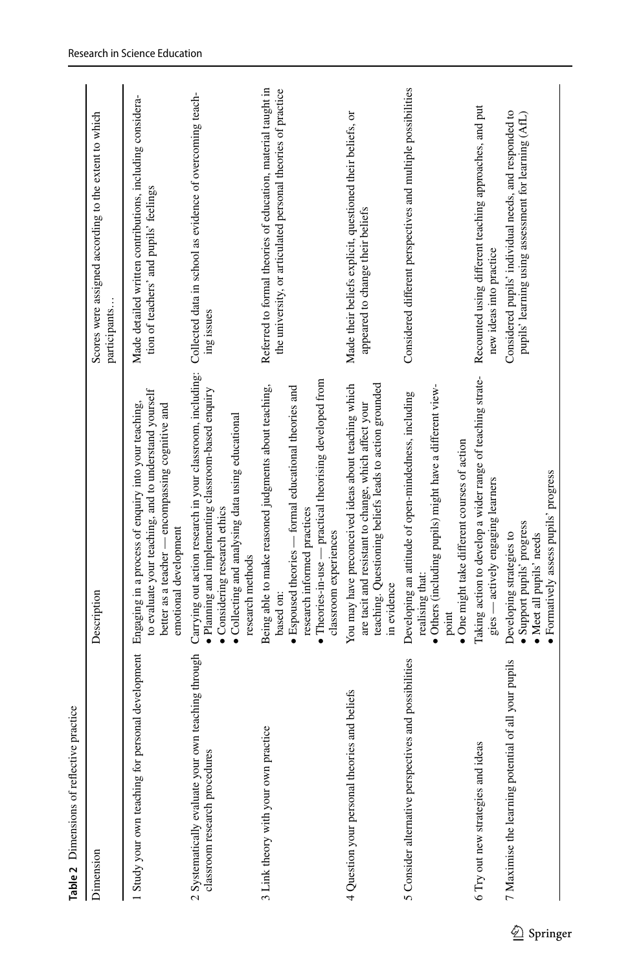<span id="page-4-0"></span>

| Table 2 Dimensions of reflective practice                                               |                                                                                                                                                                                                                                              |                                                                                                                              |
|-----------------------------------------------------------------------------------------|----------------------------------------------------------------------------------------------------------------------------------------------------------------------------------------------------------------------------------------------|------------------------------------------------------------------------------------------------------------------------------|
| Dimension                                                                               | Description                                                                                                                                                                                                                                  | Scores were assigned according to the extent to which<br>participants                                                        |
| 1 Study your own teaching for personal development                                      | to evaluate your teaching, and to understand yourself<br>Engaging in a process of enquiry into your teaching,<br>better as a teacher — encompassing cognitive and<br>emotional development                                                   | Made detailed written contributions, including considera-<br>tion of teachers' and pupils' feelings                          |
| teaching through<br>2 Systematically evaluate your own<br>classroom research procedures | Carrying out action research in your classroom, including:<br>· Planning and implementing classroom-based enquiry<br>• Collecting and analysing data using educational<br>· Considering research ethics<br>research methods                  | Collected data in school as evidence of overcoming teach-<br>ing issues                                                      |
| 3 Link theory with your own practice                                                    | Theories-in-use — practical theorising developed from<br>Being able to make reasoned judgments about teaching,<br>• Espoused theories — formal educational theories and<br>research informed practices<br>classroom experiences<br>based on: | Referred to formal theories of education, material taught in<br>the university, or articulated personal theories of practice |
| 4 Question your personal theories and beliefs                                           | You may have preconceived ideas about teaching which<br>teaching. Questioning beliefs leads to action grounded<br>are tacit and resistant to change, which affect your<br>in evidence                                                        | Made their beliefs explicit, questioned their beliefs, or<br>appeared to change their beliefs                                |
| 5 Consider alternative perspectives and possibilities                                   | · Others (including pupils) might have a different view-<br>Developing an attitude of open-mindedness, including<br>· One might take different courses of action<br>realising that:<br>point                                                 | Considered different perspectives and multiple possibilities                                                                 |
| 6 Try out new strategies and ideas                                                      | Taking action to develop a wider range of teaching strate-<br>gies - actively engaging learners                                                                                                                                              | Recounted using different teaching approaches, and put<br>new ideas into practice                                            |
| all your pupils<br>7 Maximise the learning potential of                                 | • Formatively assess pupils' progress<br>Support pupils' progress<br>Developing strategies to<br>· Meet all pupils' needs                                                                                                                    | Considered pupils' individual needs, and responded to<br>pupils' learning using assessment for learning (AfL)                |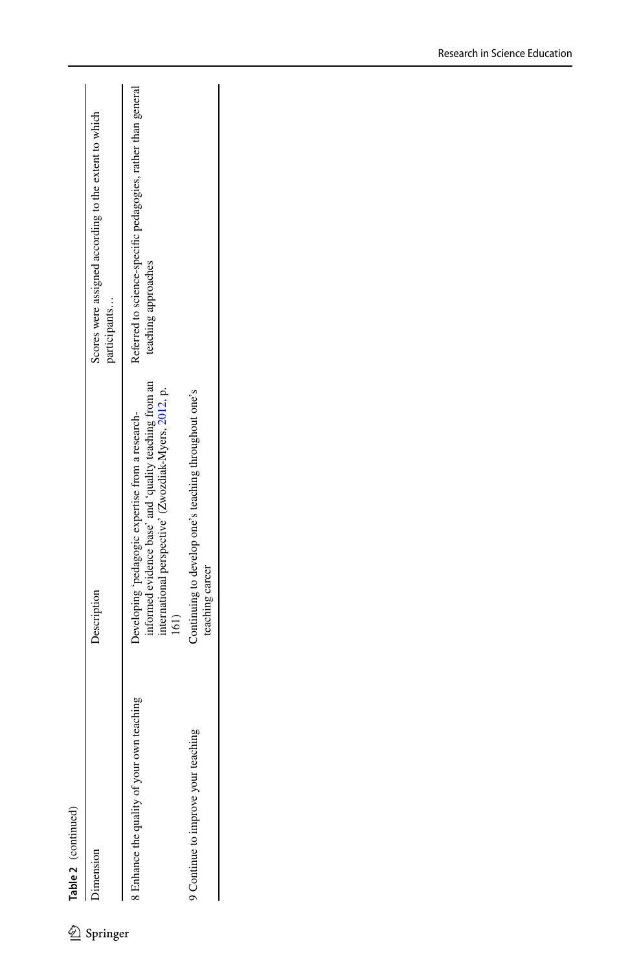$\frac{1}{2}$ 

 $\underline{\textcircled{\tiny 2}}$  Springer

| <b>Table 2</b> (continued)               |                                                                                                                                                                                      |                                                                                     |
|------------------------------------------|--------------------------------------------------------------------------------------------------------------------------------------------------------------------------------------|-------------------------------------------------------------------------------------|
| imension                                 | Description                                                                                                                                                                          | Scores were assigned according to the extent to which<br>participants               |
| Enhance the quality of your own teaching | informed evidence base' and 'quality teaching from an<br>international perspective' (Zwozdiak-Myers, 2012, p.<br>Developing 'pedagogic expertise from a research-<br>$\frac{161}{2}$ | Referred to science-specific pedagogies, rather than general<br>teaching approaches |
| Continue to improve your teaching        | Continuing to develop one's teaching throughout one's<br>teaching career                                                                                                             |                                                                                     |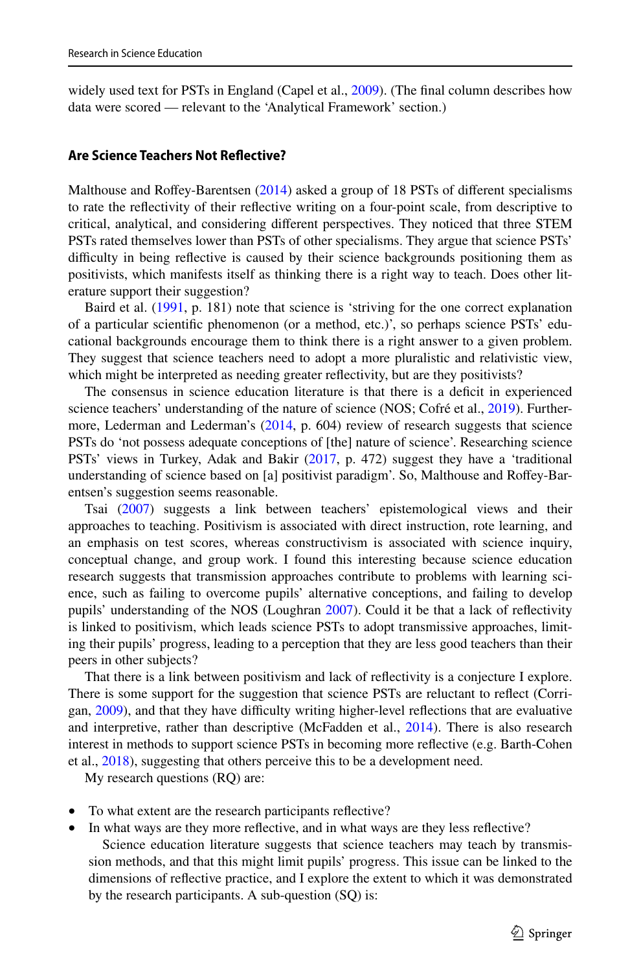widely used text for PSTs in England (Capel et al., [2009](#page-20-17)). (The final column describes how data were scored — relevant to the 'Analytical Framework' section.)

#### **Are Science Teachers Not Refective?**

Malthouse and Roffey-Barentsen [\(2014](#page-20-12)) asked a group of 18 PSTs of different specialisms to rate the refectivity of their refective writing on a four-point scale, from descriptive to critical, analytical, and considering diferent perspectives. They noticed that three STEM PSTs rated themselves lower than PSTs of other specialisms. They argue that science PSTs' difficulty in being reflective is caused by their science backgrounds positioning them as positivists, which manifests itself as thinking there is a right way to teach. Does other literature support their suggestion?

Baird et al. [\(1991](#page-19-1), p. 181) note that science is 'striving for the one correct explanation of a particular scientifc phenomenon (or a method, etc.)', so perhaps science PSTs' educational backgrounds encourage them to think there is a right answer to a given problem. They suggest that science teachers need to adopt a more pluralistic and relativistic view, which might be interpreted as needing greater reflectivity, but are they positivists?

The consensus in science education literature is that there is a defcit in experienced science teachers' understanding of the nature of science (NOS; Cofré et al., [2019\)](#page-20-18). Further-more, Lederman and Lederman's ([2014,](#page-20-19) p. 604) review of research suggests that science PSTs do 'not possess adequate conceptions of [the] nature of science'. Researching science PSTs' views in Turkey, Adak and Bakir ([2017,](#page-19-3) p. 472) suggest they have a 'traditional understanding of science based on [a] positivist paradigm'. So, Malthouse and Rofey-Barentsen's suggestion seems reasonable.

Tsai ([2007\)](#page-20-20) suggests a link between teachers' epistemological views and their approaches to teaching. Positivism is associated with direct instruction, rote learning, and an emphasis on test scores, whereas constructivism is associated with science inquiry, conceptual change, and group work. I found this interesting because science education research suggests that transmission approaches contribute to problems with learning science, such as failing to overcome pupils' alternative conceptions, and failing to develop pupils' understanding of the NOS (Loughran [2007](#page-21-2)). Could it be that a lack of reflectivity is linked to positivism, which leads science PSTs to adopt transmissive approaches, limiting their pupils' progress, leading to a perception that they are less good teachers than their peers in other subjects?

That there is a link between positivism and lack of refectivity is a conjecture I explore. There is some support for the suggestion that science PSTs are reluctant to refect (Corri-gan, [2009](#page-20-21)), and that they have difficulty writing higher-level reflections that are evaluative and interpretive, rather than descriptive (McFadden et al., [2014](#page-20-22)). There is also research interest in methods to support science PSTs in becoming more refective (e.g. Barth-Cohen et al., [2018\)](#page-19-4), suggesting that others perceive this to be a development need.

My research questions (RQ) are:

- To what extent are the research participants reflective?
- In what ways are they more reflective, and in what ways are they less reflective? Science education literature suggests that science teachers may teach by transmission methods, and that this might limit pupils' progress. This issue can be linked to the dimensions of refective practice, and I explore the extent to which it was demonstrated by the research participants. A sub-question (SQ) is: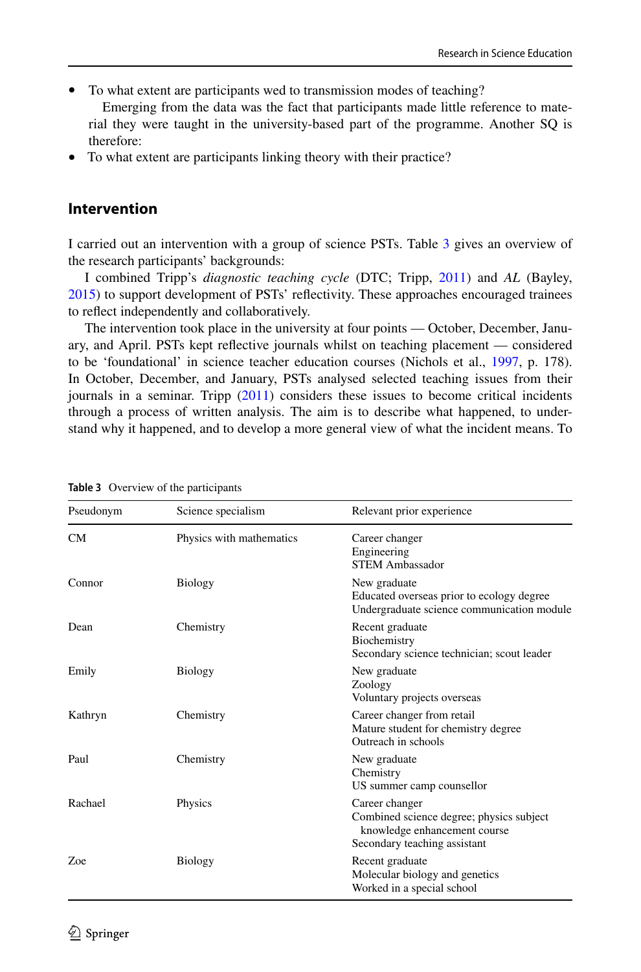- To what extent are participants wed to transmission modes of teaching?
- Emerging from the data was the fact that participants made little reference to material they were taught in the university-based part of the programme. Another SQ is therefore:
- To what extent are participants linking theory with their practice?

### **Intervention**

I carried out an intervention with a group of science PSTs. Table [3](#page-7-0) gives an overview of the research participants' backgrounds:

I combined Tripp's *diagnostic teaching cycle* (DTC; Tripp, [2011](#page-20-16)) and *AL* (Bayley, [2015\)](#page-19-5) to support development of PSTs' refectivity. These approaches encouraged trainees to refect independently and collaboratively.

The intervention took place in the university at four points — October, December, January, and April. PSTs kept refective journals whilst on teaching placement — considered to be 'foundational' in science teacher education courses (Nichols et al., [1997,](#page-20-1) p. 178). In October, December, and January, PSTs analysed selected teaching issues from their journals in a seminar. Tripp ([2011\)](#page-20-16) considers these issues to become critical incidents through a process of written analysis. The aim is to describe what happened, to understand why it happened, and to develop a more general view of what the incident means. To

| Pseudonym | Science specialism       | Relevant prior experience                                                                                                  |
|-----------|--------------------------|----------------------------------------------------------------------------------------------------------------------------|
| <b>CM</b> | Physics with mathematics | Career changer<br>Engineering<br><b>STEM Ambassador</b>                                                                    |
| Connor    | Biology                  | New graduate<br>Educated overseas prior to ecology degree<br>Undergraduate science communication module                    |
| Dean      | Chemistry                | Recent graduate<br>Biochemistry<br>Secondary science technician; scout leader                                              |
| Emily     | <b>Biology</b>           | New graduate<br>Zoology<br>Voluntary projects overseas                                                                     |
| Kathryn   | Chemistry                | Career changer from retail<br>Mature student for chemistry degree<br>Outreach in schools                                   |
| Paul      | Chemistry                | New graduate<br>Chemistry<br>US summer camp counsellor                                                                     |
| Rachael   | Physics                  | Career changer<br>Combined science degree; physics subject<br>knowledge enhancement course<br>Secondary teaching assistant |
| Zoe       | <b>Biology</b>           | Recent graduate<br>Molecular biology and genetics<br>Worked in a special school                                            |

<span id="page-7-0"></span>**Table 3** Overview of the participants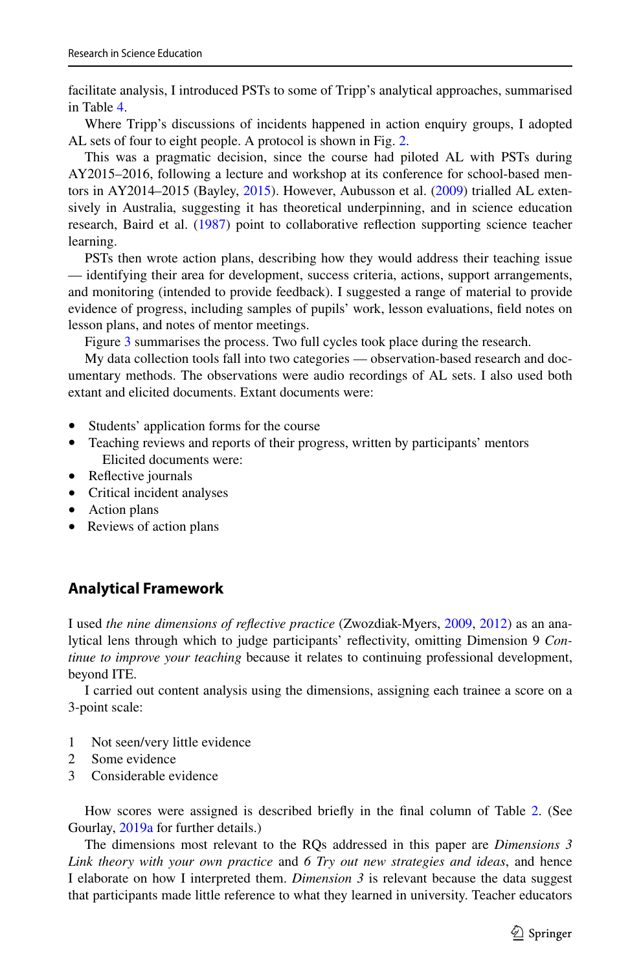facilitate analysis, I introduced PSTs to some of Tripp's analytical approaches, summarised in Table [4.](#page-9-0)

Where Tripp's discussions of incidents happened in action enquiry groups, I adopted AL sets of four to eight people. A protocol is shown in Fig. [2](#page-10-0).

This was a pragmatic decision, since the course had piloted AL with PSTs during AY2015–2016, following a lecture and workshop at its conference for school-based men-tors in AY2014–2015 (Bayley, [2015\)](#page-19-5). However, Aubusson et al. ([2009\)](#page-21-5) trialled AL extensively in Australia, suggesting it has theoretical underpinning, and in science education research, Baird et al. ([1987\)](#page-19-6) point to collaborative refection supporting science teacher learning.

PSTs then wrote action plans, describing how they would address their teaching issue — identifying their area for development, success criteria, actions, support arrangements, and monitoring (intended to provide feedback). I suggested a range of material to provide evidence of progress, including samples of pupils' work, lesson evaluations, feld notes on lesson plans, and notes of mentor meetings.

Figure [3](#page-10-1) summarises the process. Two full cycles took place during the research.

My data collection tools fall into two categories — observation-based research and documentary methods. The observations were audio recordings of AL sets. I also used both extant and elicited documents. Extant documents were:

- Students' application forms for the course
- Teaching reviews and reports of their progress, written by participants' mentors Elicited documents were:
- Reflective journals
- Critical incident analyses
- Action plans
- Reviews of action plans

### **Analytical Framework**

I used *the nine dimensions of refective practice* (Zwozdiak-Myers, [2009,](#page-21-3) [2012](#page-21-4)) as an analytical lens through which to judge participants' refectivity, omitting Dimension 9 *Continue to improve your teaching* because it relates to continuing professional development, beyond ITE.

I carried out content analysis using the dimensions, assigning each trainee a score on a 3-point scale:

- 1 Not seen/very little evidence
- 2 Some evidence
- 3 Considerable evidence

How scores were assigned is described briefy in the fnal column of Table [2](#page-4-0). (See Gourlay, [2019a](#page-21-6) for further details.)

The dimensions most relevant to the RQs addressed in this paper are *Dimensions 3 Link theory with your own practice* and *6 Try out new strategies and ideas*, and hence I elaborate on how I interpreted them. *Dimension*  $\hat{\beta}$  is relevant because the data suggest that participants made little reference to what they learned in university. Teacher educators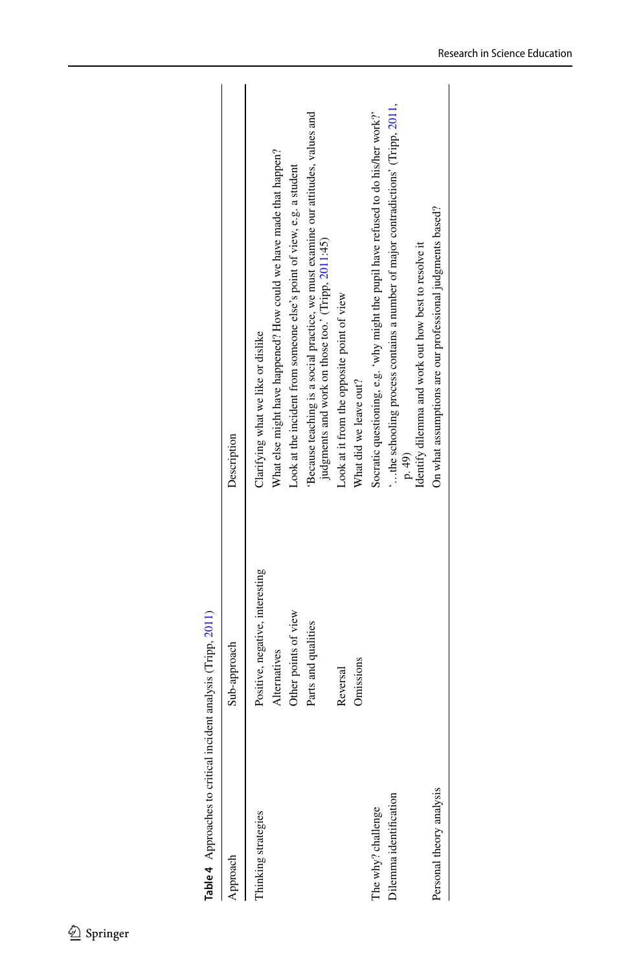<span id="page-9-0"></span>

| Approach                 | Sub-approach                    | Description                                                                                                                                    |
|--------------------------|---------------------------------|------------------------------------------------------------------------------------------------------------------------------------------------|
| Thinking strategies      | Positive, negative, interesting | Clarifying what we like or dislike                                                                                                             |
|                          | Alternatives                    | What else might have happened? How could we have made that happen?                                                                             |
|                          | Other points of view            | Look at the incident from someone else's point of view, e.g. a student                                                                         |
|                          | Parts and qualities             | Because teaching is a social practice, we must examine our attitudes, values and<br>judgments and work on those too.' (Tripp, 2011:45)         |
|                          | Reversal                        | Look at it from the opposite point of view                                                                                                     |
|                          | Omissions                       | What did we leave out?                                                                                                                         |
| The why? challenge       |                                 | Socratic questioning, e.g. 'why might the pupil have refused to do his/her work?'                                                              |
| Dilemma identification   |                                 | the schooling process contains a number of major contradictions' (Tripp, 2011,<br>Identify dilemma and work out how best to resolve it<br>p.49 |
| Personal theory analysis |                                 | On what assumptions are our professional judgments based?                                                                                      |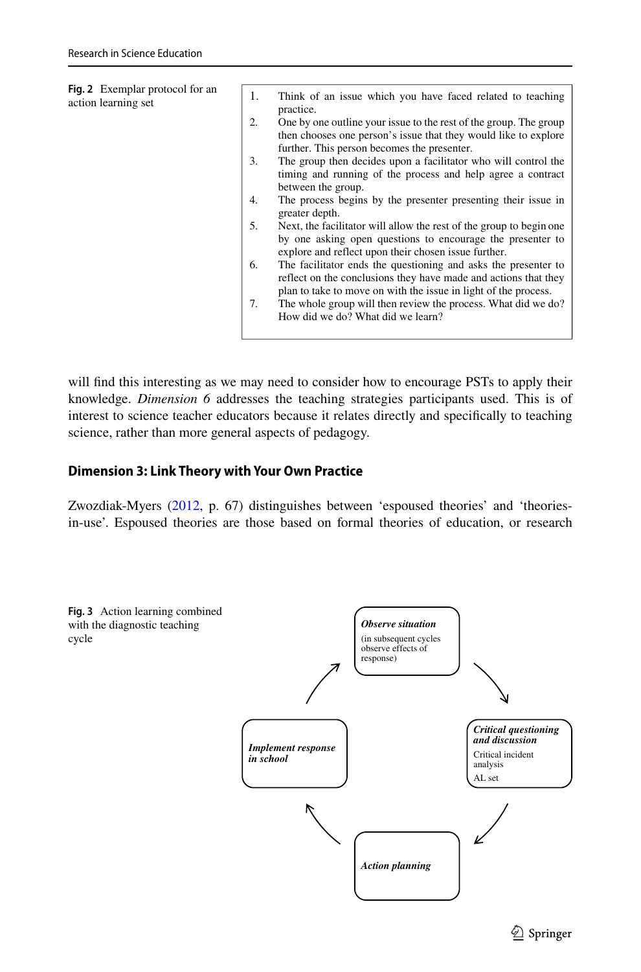<span id="page-10-0"></span>

| 1.<br>practice.                                            |                                                                                                                                                                                                                                                                                                                                                                                                                                                                                                                                                                                                                                                                                                                                                                                                                                      |
|------------------------------------------------------------|--------------------------------------------------------------------------------------------------------------------------------------------------------------------------------------------------------------------------------------------------------------------------------------------------------------------------------------------------------------------------------------------------------------------------------------------------------------------------------------------------------------------------------------------------------------------------------------------------------------------------------------------------------------------------------------------------------------------------------------------------------------------------------------------------------------------------------------|
| 2.<br>further. This person becomes the presenter.          |                                                                                                                                                                                                                                                                                                                                                                                                                                                                                                                                                                                                                                                                                                                                                                                                                                      |
| between the group.                                         |                                                                                                                                                                                                                                                                                                                                                                                                                                                                                                                                                                                                                                                                                                                                                                                                                                      |
| 4.<br>greater depth.                                       |                                                                                                                                                                                                                                                                                                                                                                                                                                                                                                                                                                                                                                                                                                                                                                                                                                      |
| 5.<br>explore and reflect upon their chosen issue further. |                                                                                                                                                                                                                                                                                                                                                                                                                                                                                                                                                                                                                                                                                                                                                                                                                                      |
|                                                            |                                                                                                                                                                                                                                                                                                                                                                                                                                                                                                                                                                                                                                                                                                                                                                                                                                      |
| How did we do? What did we learn?                          |                                                                                                                                                                                                                                                                                                                                                                                                                                                                                                                                                                                                                                                                                                                                                                                                                                      |
|                                                            | Think of an issue which you have faced related to teaching<br>One by one outline your issue to the rest of the group. The group<br>then chooses one person's issue that they would like to explore<br>3.<br>The group then decides upon a facilitator who will control the<br>timing and running of the process and help agree a contract<br>The process begins by the presenter presenting their issue in<br>Next, the facilitator will allow the rest of the group to begin one<br>by one asking open questions to encourage the presenter to<br>The facilitator ends the questioning and asks the presenter to<br>6.<br>reflect on the conclusions they have made and actions that they<br>plan to take to move on with the issue in light of the process.<br>7.<br>The whole group will then review the process. What did we do? |

will fnd this interesting as we may need to consider how to encourage PSTs to apply their knowledge. *Dimension 6* addresses the teaching strategies participants used. This is of interest to science teacher educators because it relates directly and specifcally to teaching science, rather than more general aspects of pedagogy.

### **Dimension 3: Link Theory with Your Own Practice**

Zwozdiak-Myers ([2012,](#page-21-4) p. 67) distinguishes between 'espoused theories' and 'theoriesin-use'. Espoused theories are those based on formal theories of education, or research

<span id="page-10-1"></span>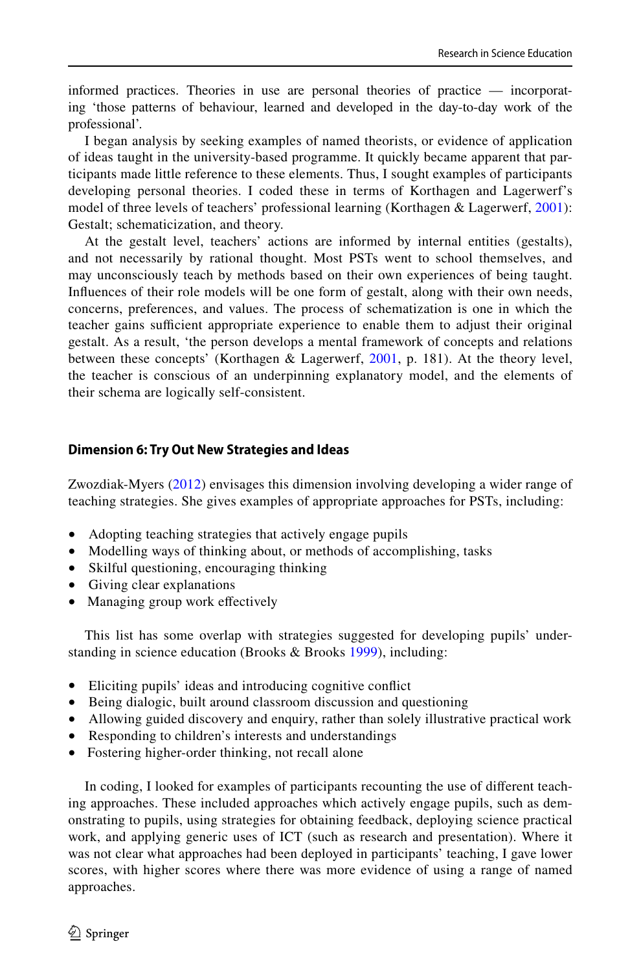informed practices. Theories in use are personal theories of practice — incorporating 'those patterns of behaviour, learned and developed in the day-to-day work of the professional'.

I began analysis by seeking examples of named theorists, or evidence of application of ideas taught in the university-based programme. It quickly became apparent that participants made little reference to these elements. Thus, I sought examples of participants developing personal theories. I coded these in terms of Korthagen and Lagerwerf's model of three levels of teachers' professional learning (Korthagen & Lagerwerf, [2001\)](#page-20-23): Gestalt; schematicization, and theory.

At the gestalt level, teachers' actions are informed by internal entities (gestalts), and not necessarily by rational thought. Most PSTs went to school themselves, and may unconsciously teach by methods based on their own experiences of being taught. Infuences of their role models will be one form of gestalt, along with their own needs, concerns, preferences, and values. The process of schematization is one in which the teacher gains sufficient appropriate experience to enable them to adjust their original gestalt. As a result, 'the person develops a mental framework of concepts and relations between these concepts' (Korthagen & Lagerwerf, [2001,](#page-20-23) p. 181). At the theory level, the teacher is conscious of an underpinning explanatory model, and the elements of their schema are logically self-consistent.

#### **Dimension 6: Try Out New Strategies and Ideas**

Zwozdiak-Myers ([2012](#page-21-4)) envisages this dimension involving developing a wider range of teaching strategies. She gives examples of appropriate approaches for PSTs, including:

- Adopting teaching strategies that actively engage pupils
- Modelling ways of thinking about, or methods of accomplishing, tasks
- Skilful questioning, encouraging thinking
- Giving clear explanations
- Managing group work effectively

This list has some overlap with strategies suggested for developing pupils' understanding in science education (Brooks & Brooks [1999](#page-21-7)), including:

- Eliciting pupils' ideas and introducing cognitive confict
- Being dialogic, built around classroom discussion and questioning
- Allowing guided discovery and enquiry, rather than solely illustrative practical work
- Responding to children's interests and understandings
- Fostering higher-order thinking, not recall alone

In coding, I looked for examples of participants recounting the use of diferent teaching approaches. These included approaches which actively engage pupils, such as demonstrating to pupils, using strategies for obtaining feedback, deploying science practical work, and applying generic uses of ICT (such as research and presentation). Where it was not clear what approaches had been deployed in participants' teaching, I gave lower scores, with higher scores where there was more evidence of using a range of named approaches.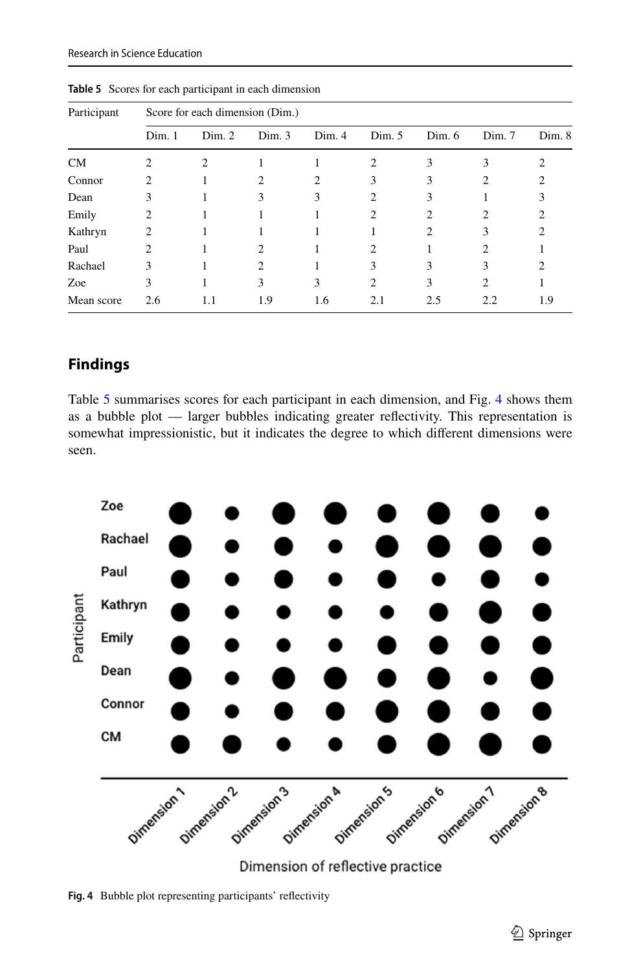| Participant |       | Score for each dimension (Dim.) |                |        |        |        |        |        |  |  |
|-------------|-------|---------------------------------|----------------|--------|--------|--------|--------|--------|--|--|
|             | Dim.1 | Dim. 2                          | Dim.3          | Dim. 4 | Dim. 5 | Dim. 6 | Dim. 7 | Dim. 8 |  |  |
| CM          |       |                                 |                |        | っ      | 3      |        |        |  |  |
| Connor      | 2     |                                 |                | 2      |        |        |        |        |  |  |
| Dean        | 3     |                                 | 3              |        |        |        |        |        |  |  |
| Emily       | 2     |                                 |                |        |        |        |        |        |  |  |
| Kathryn     | 2     |                                 |                |        |        |        |        |        |  |  |
| Paul        | 2.    |                                 | 2              |        | 2      |        |        |        |  |  |
| Rachael     | 3     |                                 | $\mathfrak{D}$ |        |        | 3      | 3      |        |  |  |
| Zoe         | 3     |                                 | 3              | 3      | 2      | 3      | っ      |        |  |  |
| Mean score  | 2.6   | 1.1                             | 1.9            | 1.6    | 2.1    | 2.5    | 2.2    | 1.9    |  |  |

<span id="page-12-0"></span>**Table 5** Scores for each participant in each dimension

## **Findings**

Table [5](#page-12-0) summarises scores for each participant in each dimension, and Fig. [4](#page-12-1) shows them as a bubble plot — larger bubbles indicating greater refectivity. This representation is somewhat impressionistic, but it indicates the degree to which diferent dimensions were seen.



<span id="page-12-1"></span>**Fig. 4** Bubble plot representing participants' refectivity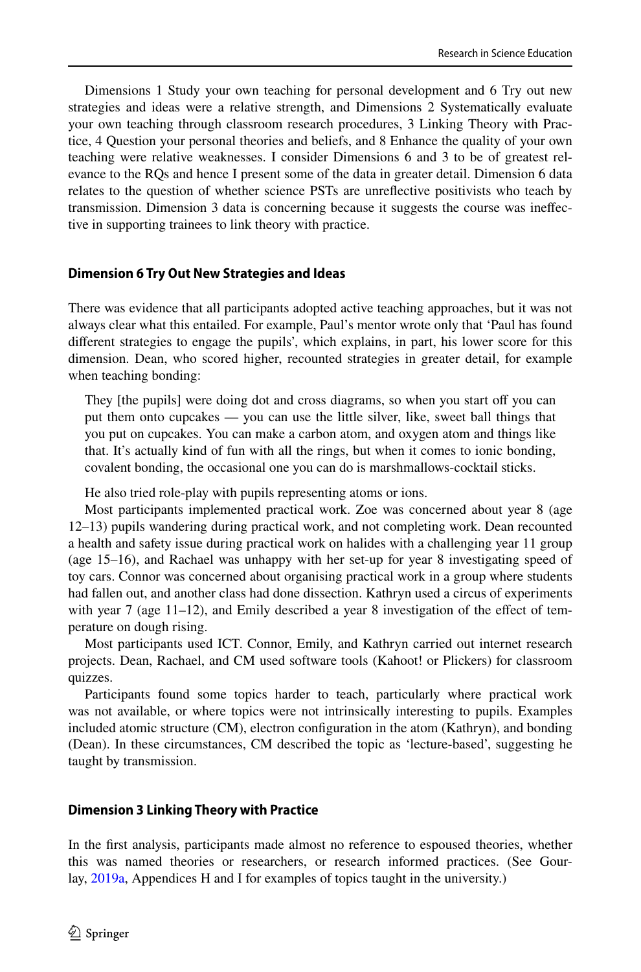Dimensions 1 Study your own teaching for personal development and 6 Try out new strategies and ideas were a relative strength, and Dimensions 2 Systematically evaluate your own teaching through classroom research procedures, 3 Linking Theory with Practice, 4 Question your personal theories and beliefs, and 8 Enhance the quality of your own teaching were relative weaknesses. I consider Dimensions 6 and 3 to be of greatest relevance to the RQs and hence I present some of the data in greater detail. Dimension 6 data relates to the question of whether science PSTs are unrefective positivists who teach by transmission. Dimension 3 data is concerning because it suggests the course was inefective in supporting trainees to link theory with practice.

### **Dimension 6 Try Out New Strategies and Ideas**

There was evidence that all participants adopted active teaching approaches, but it was not always clear what this entailed. For example, Paul's mentor wrote only that 'Paul has found diferent strategies to engage the pupils', which explains, in part, his lower score for this dimension. Dean, who scored higher, recounted strategies in greater detail, for example when teaching bonding:

They [the pupils] were doing dot and cross diagrams, so when you start of you can put them onto cupcakes — you can use the little silver, like, sweet ball things that you put on cupcakes. You can make a carbon atom, and oxygen atom and things like that. It's actually kind of fun with all the rings, but when it comes to ionic bonding, covalent bonding, the occasional one you can do is marshmallows-cocktail sticks.

He also tried role-play with pupils representing atoms or ions.

Most participants implemented practical work. Zoe was concerned about year 8 (age 12–13) pupils wandering during practical work, and not completing work. Dean recounted a health and safety issue during practical work on halides with a challenging year 11 group (age 15–16), and Rachael was unhappy with her set-up for year 8 investigating speed of toy cars. Connor was concerned about organising practical work in a group where students had fallen out, and another class had done dissection. Kathryn used a circus of experiments with year 7 (age 11–12), and Emily described a year 8 investigation of the effect of temperature on dough rising.

Most participants used ICT. Connor, Emily, and Kathryn carried out internet research projects. Dean, Rachael, and CM used software tools (Kahoot! or Plickers) for classroom quizzes.

Participants found some topics harder to teach, particularly where practical work was not available, or where topics were not intrinsically interesting to pupils. Examples included atomic structure (CM), electron confguration in the atom (Kathryn), and bonding (Dean). In these circumstances, CM described the topic as 'lecture-based', suggesting he taught by transmission.

#### **Dimension 3 Linking Theory with Practice**

In the frst analysis, participants made almost no reference to espoused theories, whether this was named theories or researchers, or research informed practices. (See Gourlay, [2019a,](#page-21-6) Appendices H and I for examples of topics taught in the university.)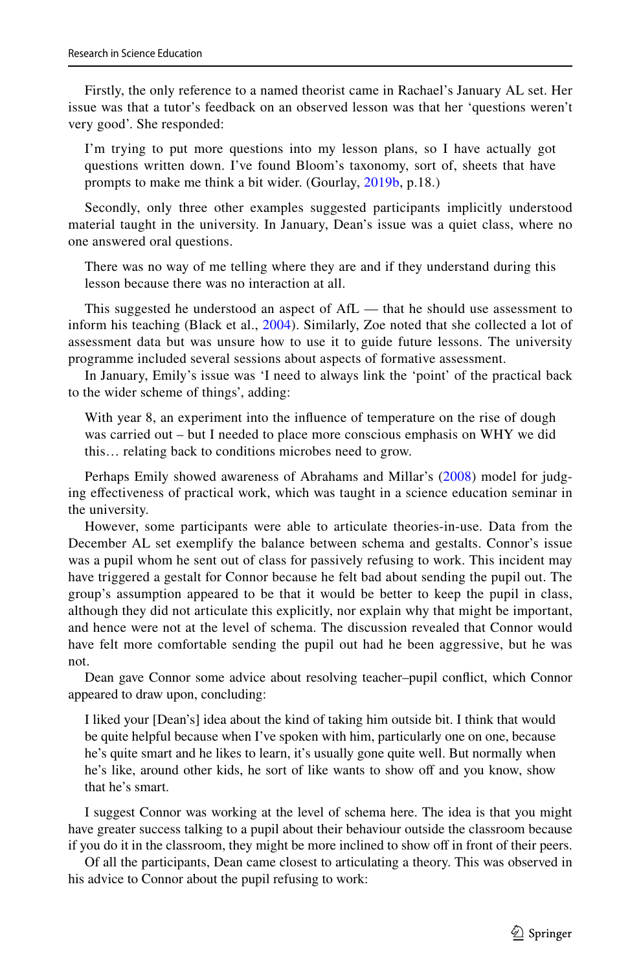Firstly, the only reference to a named theorist came in Rachael's January AL set. Her issue was that a tutor's feedback on an observed lesson was that her 'questions weren't very good'. She responded:

I'm trying to put more questions into my lesson plans, so I have actually got questions written down. I've found Bloom's taxonomy, sort of, sheets that have prompts to make me think a bit wider. (Gourlay, [2019b](#page-21-8), p.18.)

Secondly, only three other examples suggested participants implicitly understood material taught in the university. In January, Dean's issue was a quiet class, where no one answered oral questions.

There was no way of me telling where they are and if they understand during this lesson because there was no interaction at all.

This suggested he understood an aspect of AfL — that he should use assessment to inform his teaching (Black et al., [2004\)](#page-19-7). Similarly, Zoe noted that she collected a lot of assessment data but was unsure how to use it to guide future lessons. The university programme included several sessions about aspects of formative assessment.

In January, Emily's issue was 'I need to always link the 'point' of the practical back to the wider scheme of things', adding:

With year 8, an experiment into the influence of temperature on the rise of dough was carried out – but I needed to place more conscious emphasis on WHY we did this… relating back to conditions microbes need to grow.

Perhaps Emily showed awareness of Abrahams and Millar's ([2008\)](#page-19-8) model for judging efectiveness of practical work, which was taught in a science education seminar in the university.

However, some participants were able to articulate theories-in-use. Data from the December AL set exemplify the balance between schema and gestalts. Connor's issue was a pupil whom he sent out of class for passively refusing to work. This incident may have triggered a gestalt for Connor because he felt bad about sending the pupil out. The group's assumption appeared to be that it would be better to keep the pupil in class, although they did not articulate this explicitly, nor explain why that might be important, and hence were not at the level of schema. The discussion revealed that Connor would have felt more comfortable sending the pupil out had he been aggressive, but he was not.

Dean gave Connor some advice about resolving teacher–pupil confict, which Connor appeared to draw upon, concluding:

I liked your [Dean's] idea about the kind of taking him outside bit. I think that would be quite helpful because when I've spoken with him, particularly one on one, because he's quite smart and he likes to learn, it's usually gone quite well. But normally when he's like, around other kids, he sort of like wants to show off and you know, show that he's smart.

I suggest Connor was working at the level of schema here. The idea is that you might have greater success talking to a pupil about their behaviour outside the classroom because if you do it in the classroom, they might be more inclined to show off in front of their peers.

Of all the participants, Dean came closest to articulating a theory. This was observed in his advice to Connor about the pupil refusing to work: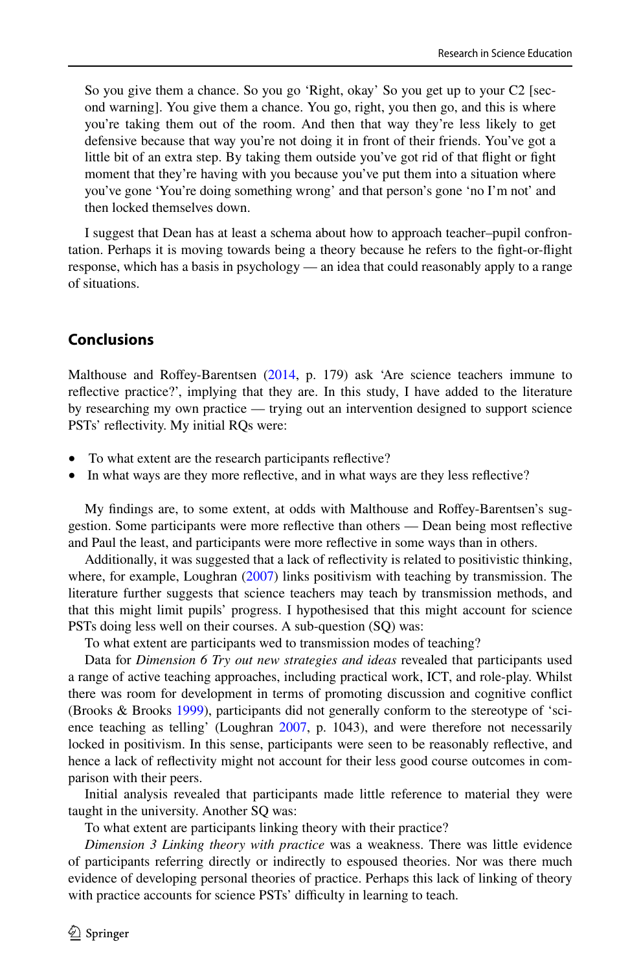So you give them a chance. So you go 'Right, okay' So you get up to your C2 [second warning]. You give them a chance. You go, right, you then go, and this is where you're taking them out of the room. And then that way they're less likely to get defensive because that way you're not doing it in front of their friends. You've got a little bit of an extra step. By taking them outside you've got rid of that fight or fght moment that they're having with you because you've put them into a situation where you've gone 'You're doing something wrong' and that person's gone 'no I'm not' and then locked themselves down.

I suggest that Dean has at least a schema about how to approach teacher–pupil confrontation. Perhaps it is moving towards being a theory because he refers to the fght-or-fight response, which has a basis in psychology — an idea that could reasonably apply to a range of situations.

## **Conclusions**

Malthouse and Roffey-Barentsen  $(2014, p. 179)$  $(2014, p. 179)$  $(2014, p. 179)$  ask 'Are science teachers immune to refective practice?', implying that they are. In this study, I have added to the literature by researching my own practice — trying out an intervention designed to support science PSTs' refectivity. My initial RQs were:

- To what extent are the research participants reflective?
- In what ways are they more reflective, and in what ways are they less reflective?

My findings are, to some extent, at odds with Malthouse and Roffey-Barentsen's suggestion. Some participants were more refective than others — Dean being most refective and Paul the least, and participants were more refective in some ways than in others.

Additionally, it was suggested that a lack of refectivity is related to positivistic thinking, where, for example, Loughran ([2007\)](#page-21-2) links positivism with teaching by transmission. The literature further suggests that science teachers may teach by transmission methods, and that this might limit pupils' progress. I hypothesised that this might account for science PSTs doing less well on their courses. A sub-question (SQ) was:

To what extent are participants wed to transmission modes of teaching?

Data for *Dimension 6 Try out new strategies and ideas* revealed that participants used a range of active teaching approaches, including practical work, ICT, and role-play. Whilst there was room for development in terms of promoting discussion and cognitive confict (Brooks & Brooks [1999\)](#page-21-7), participants did not generally conform to the stereotype of 'science teaching as telling' (Loughran [2007,](#page-21-2) p. 1043), and were therefore not necessarily locked in positivism. In this sense, participants were seen to be reasonably refective, and hence a lack of refectivity might not account for their less good course outcomes in comparison with their peers.

Initial analysis revealed that participants made little reference to material they were taught in the university. Another SQ was:

To what extent are participants linking theory with their practice?

*Dimension 3 Linking theory with practice* was a weakness. There was little evidence of participants referring directly or indirectly to espoused theories. Nor was there much evidence of developing personal theories of practice. Perhaps this lack of linking of theory with practice accounts for science PSTs' difficulty in learning to teach.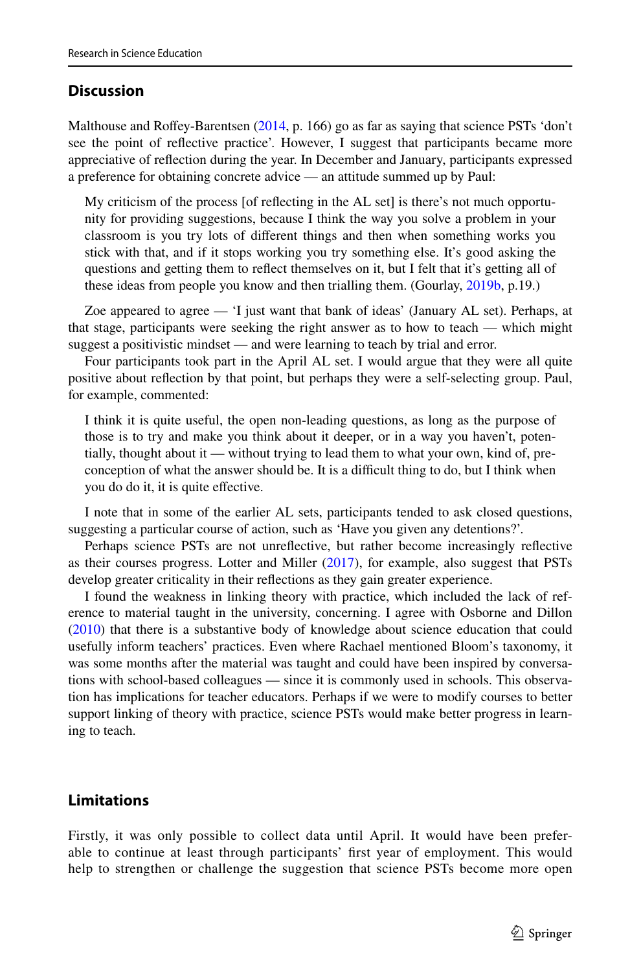## **Discussion**

Malthouse and Roffey-Barentsen [\(2014](#page-20-12), p. 166) go as far as saying that science PSTs 'don't see the point of refective practice'. However, I suggest that participants became more appreciative of refection during the year. In December and January, participants expressed a preference for obtaining concrete advice — an attitude summed up by Paul:

My criticism of the process [of refecting in the AL set] is there's not much opportunity for providing suggestions, because I think the way you solve a problem in your classroom is you try lots of diferent things and then when something works you stick with that, and if it stops working you try something else. It's good asking the questions and getting them to refect themselves on it, but I felt that it's getting all of these ideas from people you know and then trialling them. (Gourlay, [2019b,](#page-21-8) p.19.)

Zoe appeared to agree — 'I just want that bank of ideas' (January AL set). Perhaps, at that stage, participants were seeking the right answer as to how to teach — which might suggest a positivistic mindset — and were learning to teach by trial and error.

Four participants took part in the April AL set. I would argue that they were all quite positive about refection by that point, but perhaps they were a self-selecting group. Paul, for example, commented:

I think it is quite useful, the open non-leading questions, as long as the purpose of those is to try and make you think about it deeper, or in a way you haven't, potentially, thought about it — without trying to lead them to what your own, kind of, preconception of what the answer should be. It is a difficult thing to do, but I think when you do do it, it is quite efective.

I note that in some of the earlier AL sets, participants tended to ask closed questions, suggesting a particular course of action, such as 'Have you given any detentions?'.

Perhaps science PSTs are not unrefective, but rather become increasingly refective as their courses progress. Lotter and Miller [\(2017](#page-20-24)), for example, also suggest that PSTs develop greater criticality in their refections as they gain greater experience.

I found the weakness in linking theory with practice, which included the lack of reference to material taught in the university, concerning. I agree with Osborne and Dillon ([2010\)](#page-20-25) that there is a substantive body of knowledge about science education that could usefully inform teachers' practices. Even where Rachael mentioned Bloom's taxonomy, it was some months after the material was taught and could have been inspired by conversations with school-based colleagues — since it is commonly used in schools. This observation has implications for teacher educators. Perhaps if we were to modify courses to better support linking of theory with practice, science PSTs would make better progress in learning to teach.

## **Limitations**

Firstly, it was only possible to collect data until April. It would have been preferable to continue at least through participants' frst year of employment. This would help to strengthen or challenge the suggestion that science PSTs become more open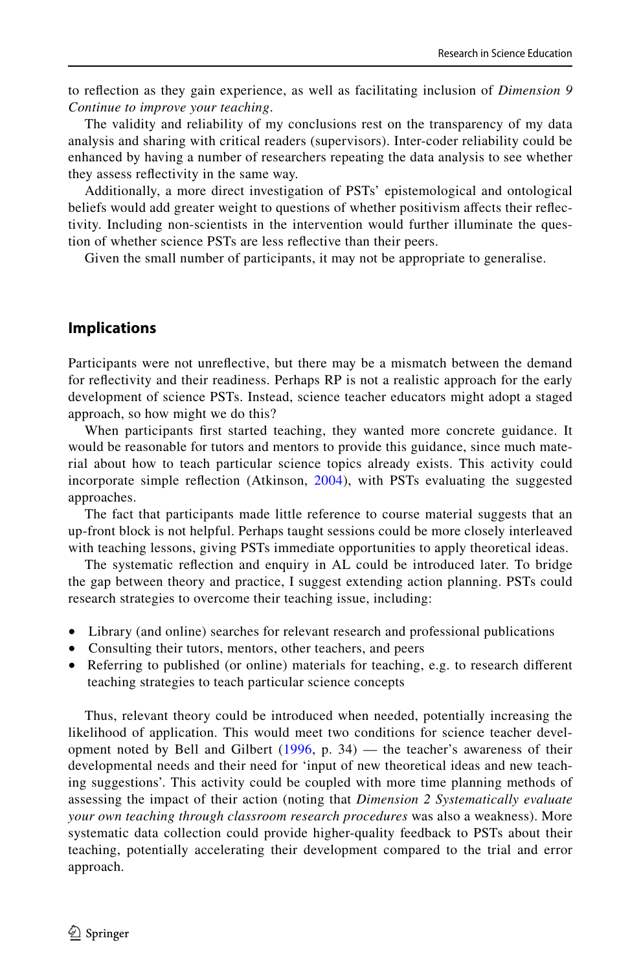to refection as they gain experience, as well as facilitating inclusion of *Dimension 9 Continue to improve your teaching*.

The validity and reliability of my conclusions rest on the transparency of my data analysis and sharing with critical readers (supervisors). Inter-coder reliability could be enhanced by having a number of researchers repeating the data analysis to see whether they assess refectivity in the same way.

Additionally, a more direct investigation of PSTs' epistemological and ontological beliefs would add greater weight to questions of whether positivism afects their refectivity. Including non-scientists in the intervention would further illuminate the question of whether science PSTs are less refective than their peers.

Given the small number of participants, it may not be appropriate to generalise.

### **Implications**

Participants were not unrefective, but there may be a mismatch between the demand for refectivity and their readiness. Perhaps RP is not a realistic approach for the early development of science PSTs. Instead, science teacher educators might adopt a staged approach, so how might we do this?

When participants frst started teaching, they wanted more concrete guidance. It would be reasonable for tutors and mentors to provide this guidance, since much material about how to teach particular science topics already exists. This activity could incorporate simple refection (Atkinson, [2004](#page-19-2)), with PSTs evaluating the suggested approaches.

The fact that participants made little reference to course material suggests that an up-front block is not helpful. Perhaps taught sessions could be more closely interleaved with teaching lessons, giving PSTs immediate opportunities to apply theoretical ideas.

The systematic refection and enquiry in AL could be introduced later. To bridge the gap between theory and practice, I suggest extending action planning. PSTs could research strategies to overcome their teaching issue, including:

- Library (and online) searches for relevant research and professional publications
- Consulting their tutors, mentors, other teachers, and peers
- Referring to published (or online) materials for teaching, e.g. to research diferent teaching strategies to teach particular science concepts

Thus, relevant theory could be introduced when needed, potentially increasing the likelihood of application. This would meet two conditions for science teacher development noted by Bell and Gilbert  $(1996, p. 34)$  $(1996, p. 34)$  — the teacher's awareness of their developmental needs and their need for 'input of new theoretical ideas and new teaching suggestions'. This activity could be coupled with more time planning methods of assessing the impact of their action (noting that *Dimension 2 Systematically evaluate your own teaching through classroom research procedures* was also a weakness). More systematic data collection could provide higher-quality feedback to PSTs about their teaching, potentially accelerating their development compared to the trial and error approach.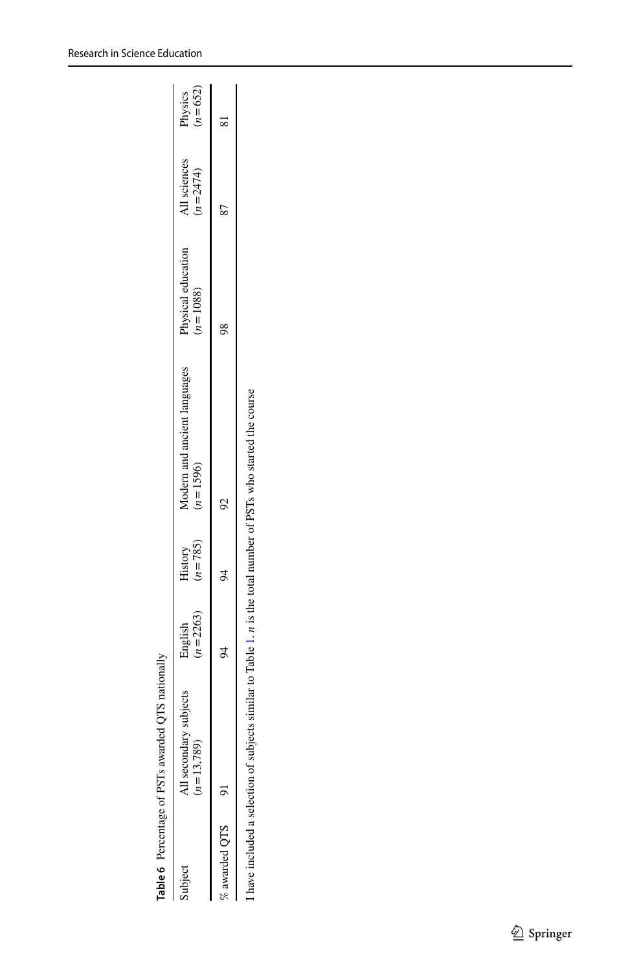<span id="page-18-0"></span>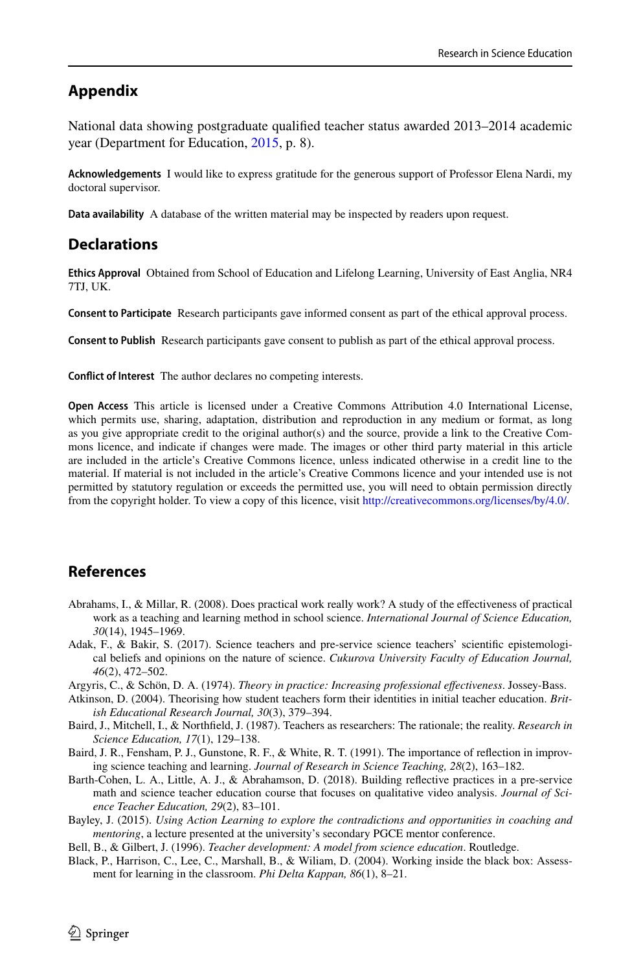## **Appendix**

National data showing postgraduate qualifed teacher status awarded 2013–2014 academic year (Department for Education, [2015](#page-20-6), p. 8).

**Acknowledgements** I would like to express gratitude for the generous support of Professor Elena Nardi, my doctoral supervisor.

**Data availability** A database of the written material may be inspected by readers upon request.

## **Declarations**

**Ethics Approval** Obtained from School of Education and Lifelong Learning, University of East Anglia, NR4 7TJ, UK.

**Consent to Participate** Research participants gave informed consent as part of the ethical approval process.

**Consent to Publish** Research participants gave consent to publish as part of the ethical approval process.

**Confict of Interest** The author declares no competing interests.

**Open Access** This article is licensed under a Creative Commons Attribution 4.0 International License, which permits use, sharing, adaptation, distribution and reproduction in any medium or format, as long as you give appropriate credit to the original author(s) and the source, provide a link to the Creative Commons licence, and indicate if changes were made. The images or other third party material in this article are included in the article's Creative Commons licence, unless indicated otherwise in a credit line to the material. If material is not included in the article's Creative Commons licence and your intended use is not permitted by statutory regulation or exceeds the permitted use, you will need to obtain permission directly from the copyright holder. To view a copy of this licence, visit [http://creativecommons.org/licenses/by/4.0/.](http://creativecommons.org/licenses/by/4.0/)

## **References**

- <span id="page-19-8"></span>Abrahams, I., & Millar, R. (2008). Does practical work really work? A study of the efectiveness of practical work as a teaching and learning method in school science. *International Journal of Science Education, 30*(14), 1945–1969.
- <span id="page-19-3"></span>Adak, F., & Bakir, S. (2017). Science teachers and pre-service science teachers' scientifc epistemological beliefs and opinions on the nature of science. *Cukurova University Faculty of Education Journal, 46*(2), 472–502.

<span id="page-19-0"></span>Argyris, C., & Schön, D. A. (1974). *Theory in practice: Increasing professional efectiveness*. Jossey-Bass.

<span id="page-19-2"></span>Atkinson, D. (2004). Theorising how student teachers form their identities in initial teacher education. *British Educational Research Journal, 30*(3), 379–394.

<span id="page-19-6"></span>Baird, J., Mitchell, I., & Northfeld, J. (1987). Teachers as researchers: The rationale; the reality. *Research in Science Education, 17*(1), 129–138.

<span id="page-19-1"></span>Baird, J. R., Fensham, P. J., Gunstone, R. F., & White, R. T. (1991). The importance of refection in improving science teaching and learning. *Journal of Research in Science Teaching, 28*(2), 163–182.

<span id="page-19-4"></span>Barth-Cohen, L. A., Little, A. J., & Abrahamson, D. (2018). Building refective practices in a pre-service math and science teacher education course that focuses on qualitative video analysis. *Journal of Science Teacher Education, 29*(2), 83–101.

<span id="page-19-5"></span>Bayley, J. (2015). *Using Action Learning to explore the contradictions and opportunities in coaching and mentoring*, a lecture presented at the university's secondary PGCE mentor conference.

<span id="page-19-9"></span>Bell, B., & Gilbert, J. (1996). *Teacher development: A model from science education*. Routledge.

<span id="page-19-7"></span>Black, P., Harrison, C., Lee, C., Marshall, B., & Wiliam, D. (2004). Working inside the black box: Assessment for learning in the classroom. *Phi Delta Kappan, 86*(1), 8–21.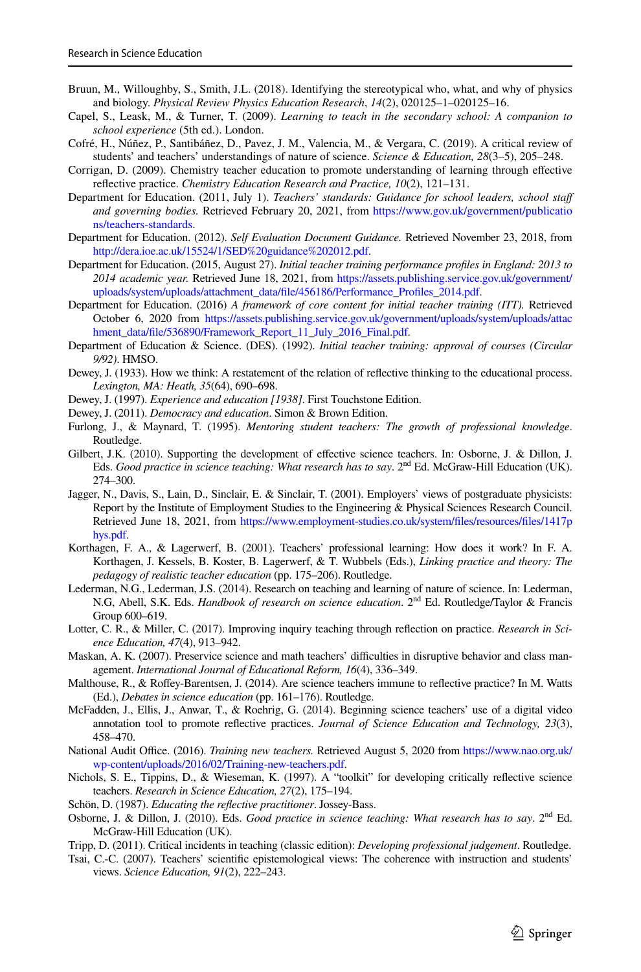- <span id="page-20-11"></span>Bruun, M., Willoughby, S., Smith, J.L. (2018). Identifying the stereotypical who, what, and why of physics and biology. *Physical Review Physics Education Research*, *14*(2), 020125–1–020125–16.
- <span id="page-20-17"></span>Capel, S., Leask, M., & Turner, T. (2009). *Learning to teach in the secondary school: A companion to school experience* (5th ed.). London.
- <span id="page-20-18"></span>Cofré, H., Núñez, P., Santibáñez, D., Pavez, J. M., Valencia, M., & Vergara, C. (2019). A critical review of students' and teachers' understandings of nature of science. *Science & Education, 28*(3–5), 205–248.
- <span id="page-20-21"></span>Corrigan, D. (2009). Chemistry teacher education to promote understanding of learning through efective refective practice. *Chemistry Education Research and Practice, 10*(2), 121–131.
- <span id="page-20-4"></span>Department for Education. (2011, July 1). *Teachers' standards: Guidance for school leaders, school staff and governing bodies.* Retrieved February 20, 2021, from [https://www.gov.uk/government/publicatio](https://www.gov.uk/government/publications/teachers-standards) [ns/teachers-standards](https://www.gov.uk/government/publications/teachers-standards).
- <span id="page-20-5"></span>Department for Education. (2012). *Self Evaluation Document Guidance.* Retrieved November 23, 2018, from [http://dera.ioe.ac.uk/15524/1/SED%20guidance%202012.pdf.](http://dera.ioe.ac.uk/15524/1/SED%20guidance%202012.pdf)
- <span id="page-20-6"></span>Department for Education. (2015, August 27). *Initial teacher training performance profles in England: 2013 to 2014 academic year.* Retrieved June 18, 2021, from [https://assets.publishing.service.gov.uk/government/](https://assets.publishing.service.gov.uk/government/uploads/system/uploads/attachment_data/file/456186/Performance_Profiles_2014.pdf) [uploads/system/uploads/attachment\\_data/fle/456186/Performance\\_Profles\\_2014.pdf.](https://assets.publishing.service.gov.uk/government/uploads/system/uploads/attachment_data/file/456186/Performance_Profiles_2014.pdf)
- <span id="page-20-3"></span>Department for Education. (2016) *A framework of core content for initial teacher training (ITT).* Retrieved October 6, 2020 from [https://assets.publishing.service.gov.uk/government/uploads/system/uploads/attac](https://assets.publishing.service.gov.uk/government/uploads/system/uploads/attachment_data/file/536890/Framework_Report_11_July_2016_Final.pdf) hment\_data/file/536890/Framework\_Report\_11\_July\_2016\_Final.pdf.
- <span id="page-20-2"></span>Department of Education & Science. (DES). (1992). *Initial teacher training: approval of courses (Circular 9/92)*. HMSO.
- <span id="page-20-13"></span>Dewey, J. (1933). How we think: A restatement of the relation of refective thinking to the educational process. *Lexington, MA: Heath, 35*(64), 690–698.
- Dewey, J. (1997). *Experience and education [1938]*. First Touchstone Edition.
- <span id="page-20-15"></span>Dewey, J. (2011). *Democracy and education*. Simon & Brown Edition.
- <span id="page-20-0"></span>Furlong, J., & Maynard, T. (1995). *Mentoring student teachers: The growth of professional knowledge*. Routledge.
- <span id="page-20-8"></span>Gilbert, J.K. (2010). Supporting the development of efective science teachers. In: Osborne, J. & Dillon, J. Eds. *Good practice in science teaching: What research has to say*. 2<sup>nd</sup> Ed. McGraw-Hill Education (UK). 274–300.
- <span id="page-20-10"></span>Jagger, N., Davis, S., Lain, D., Sinclair, E. & Sinclair, T. (2001). Employers' views of postgraduate physicists: Report by the Institute of Employment Studies to the Engineering & Physical Sciences Research Council. Retrieved June 18, 2021, from [https://www.employment-studies.co.uk/system/fles/resources/fles/1417p](https://www.employment-studies.co.uk/system/files/resources/files/1417phys.pdf) [hys.pdf.](https://www.employment-studies.co.uk/system/files/resources/files/1417phys.pdf)
- <span id="page-20-23"></span>Korthagen, F. A., & Lagerwerf, B. (2001). Teachers' professional learning: How does it work? In F. A. Korthagen, J. Kessels, B. Koster, B. Lagerwerf, & T. Wubbels (Eds.), *Linking practice and theory: The pedagogy of realistic teacher education* (pp. 175–206). Routledge.
- <span id="page-20-19"></span>Lederman, N.G., Lederman, J.S. (2014). Research on teaching and learning of nature of science. In: Lederman, N.G, Abell, S.K. Eds. *Handbook of research on science education*. 2nd Ed. Routledge/Taylor & Francis Group 600–619.
- <span id="page-20-24"></span>Lotter, C. R., & Miller, C. (2017). Improving inquiry teaching through refection on practice. *Research in Science Education, 47*(4), 913–942.
- <span id="page-20-9"></span>Maskan, A. K. (2007). Preservice science and math teachers' difficulties in disruptive behavior and class management. *International Journal of Educational Reform, 16*(4), 336–349.
- <span id="page-20-12"></span>Malthouse, R., & Rofey-Barentsen, J. (2014). Are science teachers immune to refective practice? In M. Watts (Ed.), *Debates in science education* (pp. 161–176). Routledge.
- <span id="page-20-22"></span>McFadden, J., Ellis, J., Anwar, T., & Roehrig, G. (2014). Beginning science teachers' use of a digital video annotation tool to promote refective practices. *Journal of Science Education and Technology, 23*(3), 458–470.
- <span id="page-20-7"></span>National Audit Office. (2016). *Training new teachers*. Retrieved August 5, 2020 from [https://www.nao.org.uk/](https://www.nao.org.uk/wp-content/uploads/2016/02/Training-new-teachers.pdf) [wp-content/uploads/2016/02/Training-new-teachers.pdf](https://www.nao.org.uk/wp-content/uploads/2016/02/Training-new-teachers.pdf).
- <span id="page-20-1"></span>Nichols, S. E., Tippins, D., & Wieseman, K. (1997). A "toolkit" for developing critically refective science teachers. *Research in Science Education, 27*(2), 175–194.
- <span id="page-20-14"></span>Schön, D. (1987). *Educating the refective practitioner*. Jossey-Bass.
- <span id="page-20-25"></span>Osborne, J. & Dillon, J. (2010). Eds. *Good practice in science teaching: What research has to say*. 2<sup>nd</sup> Ed. McGraw-Hill Education (UK).
- <span id="page-20-16"></span>Tripp, D. (2011). Critical incidents in teaching (classic edition): *Developing professional judgement*. Routledge.
- <span id="page-20-20"></span>Tsai, C.-C. (2007). Teachers' scientifc epistemological views: The coherence with instruction and students' views. *Science Education, 91*(2), 222–243.